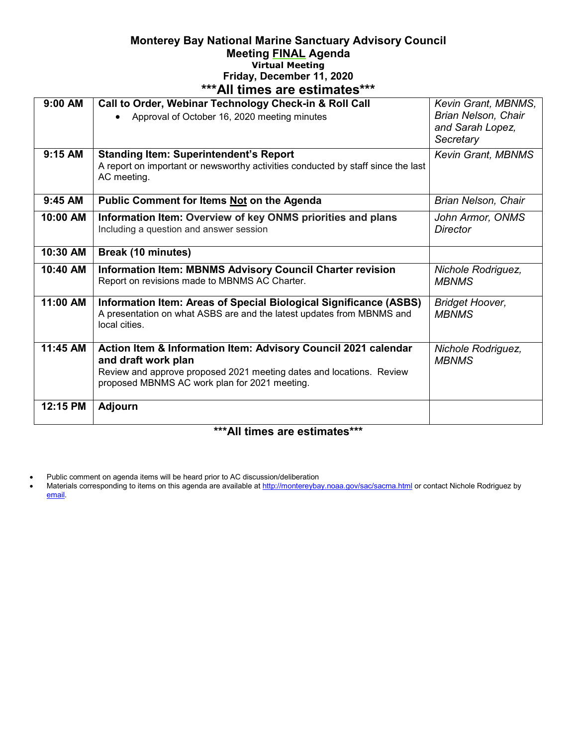## **Monterey Bay National Marine Sanctuary Advisory Council Meeting FINAL Agenda Virtual Meeting Friday, December 11, 2020 \*\*\*All times are estimates\*\*\***

| ur umvə arə cədinaləs |                                                                                  |                           |
|-----------------------|----------------------------------------------------------------------------------|---------------------------|
| $9:00$ AM             | Call to Order, Webinar Technology Check-in & Roll Call                           | Kevin Grant, MBNMS,       |
|                       | Approval of October 16, 2020 meeting minutes                                     | Brian Nelson, Chair       |
|                       |                                                                                  | and Sarah Lopez,          |
|                       |                                                                                  | Secretary                 |
| 9:15 AM               | <b>Standing Item: Superintendent's Report</b>                                    | <b>Kevin Grant, MBNMS</b> |
|                       | A report on important or newsworthy activities conducted by staff since the last |                           |
|                       | AC meeting.                                                                      |                           |
|                       |                                                                                  |                           |
| $9:45$ AM             | Public Comment for Items Not on the Agenda                                       | Brian Nelson, Chair       |
|                       |                                                                                  |                           |
| 10:00 AM              | Information Item: Overview of key ONMS priorities and plans                      | John Armor, ONMS          |
|                       | Including a question and answer session                                          | <b>Director</b>           |
|                       |                                                                                  |                           |
| 10:30 AM              | Break (10 minutes)                                                               |                           |
| 10:40 AM              | <b>Information Item: MBNMS Advisory Council Charter revision</b>                 | Nichole Rodriguez,        |
|                       | Report on revisions made to MBNMS AC Charter.                                    | <b>MBNMS</b>              |
|                       |                                                                                  |                           |
| 11:00 AM              | Information Item: Areas of Special Biological Significance (ASBS)                | <b>Bridget Hoover,</b>    |
|                       | A presentation on what ASBS are and the latest updates from MBNMS and            | <b>MBNMS</b>              |
|                       | local cities.                                                                    |                           |
|                       |                                                                                  |                           |
| 11:45 AM              | Action Item & Information Item: Advisory Council 2021 calendar                   | Nichole Rodriguez,        |
|                       | and draft work plan                                                              | <b>MBNMS</b>              |
|                       | Review and approve proposed 2021 meeting dates and locations. Review             |                           |
|                       | proposed MBNMS AC work plan for 2021 meeting.                                    |                           |
|                       |                                                                                  |                           |
| 12:15 PM              | <b>Adjourn</b>                                                                   |                           |
|                       |                                                                                  |                           |
|                       |                                                                                  |                           |

## **\*\*\*All times are estimates\*\*\***

- Public comment on agenda items will be heard prior to AC discussion/deliberation
- Materials corresponding to items on this agenda are available a[t http://montereybay.noaa.gov/sac/sacma.html](http://montereybay.noaa.gov/sac/sacma.html) or contact Nichole Rodriguez by [email.](mailto:dawn.hayes@noaa.gov)